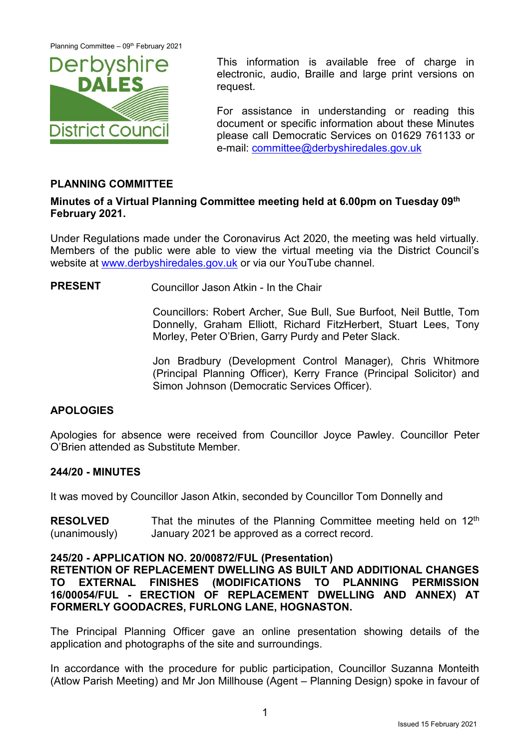Planning Committee – 09<sup>th</sup> February 2021



This information is available free of charge in electronic, audio, Braille and large print versions on request.

For assistance in understanding or reading this document or specific information about these Minutes please call Democratic Services on 01629 761133 or e-mail: [committee@derbyshiredales.gov.uk](mailto:committee@derbyshiredales.gov.uk)

# **PLANNING COMMITTEE**

## **Minutes of a Virtual Planning Committee meeting held at 6.00pm on Tuesday 09th February 2021.**

Under Regulations made under the Coronavirus Act 2020, the meeting was held virtually. Members of the public were able to view the virtual meeting via the District Council's website at [www.derbyshiredales.gov.uk](http://www.derbyshiredales.gov.uk/) or via our YouTube channel.

**PRESENT** Councillor Jason Atkin - In the Chair

Councillors: Robert Archer, Sue Bull, Sue Burfoot, Neil Buttle, Tom Donnelly, Graham Elliott, Richard FitzHerbert, Stuart Lees, Tony Morley, Peter O'Brien, Garry Purdy and Peter Slack.

Jon Bradbury (Development Control Manager), Chris Whitmore (Principal Planning Officer), Kerry France (Principal Solicitor) and Simon Johnson (Democratic Services Officer).

# **APOLOGIES**

Apologies for absence were received from Councillor Joyce Pawley. Councillor Peter O'Brien attended as Substitute Member.

# **244/20 - MINUTES**

It was moved by Councillor Jason Atkin, seconded by Councillor Tom Donnelly and

**RESOLVED** (unanimously) That the minutes of the Planning Committee meeting held on  $12<sup>th</sup>$ January 2021 be approved as a correct record.

## **245/20 - APPLICATION NO. 20/00872/FUL (Presentation)**

**RETENTION OF REPLACEMENT DWELLING AS BUILT AND ADDITIONAL CHANGES TO EXTERNAL FINISHES (MODIFICATIONS TO PLANNING PERMISSION 16/00054/FUL - ERECTION OF REPLACEMENT DWELLING AND ANNEX) AT FORMERLY GOODACRES, FURLONG LANE, HOGNASTON.**

The Principal Planning Officer gave an online presentation showing details of the application and photographs of the site and surroundings.

In accordance with the procedure for public participation, Councillor Suzanna Monteith (Atlow Parish Meeting) and Mr Jon Millhouse (Agent – Planning Design) spoke in favour of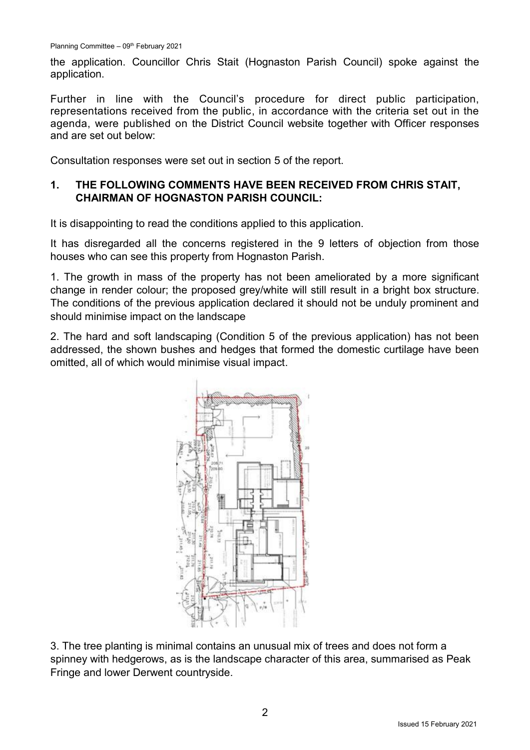the application. Councillor Chris Stait (Hognaston Parish Council) spoke against the application.

Further in line with the Council's procedure for direct public participation, representations received from the public, in accordance with the criteria set out in the agenda, were published on the District Council website together with Officer responses and are set out below:

Consultation responses were set out in section 5 of the report.

# **1. THE FOLLOWING COMMENTS HAVE BEEN RECEIVED FROM CHRIS STAIT, CHAIRMAN OF HOGNASTON PARISH COUNCIL:**

It is disappointing to read the conditions applied to this application.

It has disregarded all the concerns registered in the 9 letters of objection from those houses who can see this property from Hognaston Parish.

1. The growth in mass of the property has not been ameliorated by a more significant change in render colour; the proposed grey/white will still result in a bright box structure. The conditions of the previous application declared it should not be unduly prominent and should minimise impact on the landscape

2. The hard and soft landscaping (Condition 5 of the previous application) has not been addressed, the shown bushes and hedges that formed the domestic curtilage have been omitted, all of which would minimise visual impact.



3. The tree planting is minimal contains an unusual mix of trees and does not form a spinney with hedgerows, as is the landscape character of this area, summarised as Peak Fringe and lower Derwent countryside.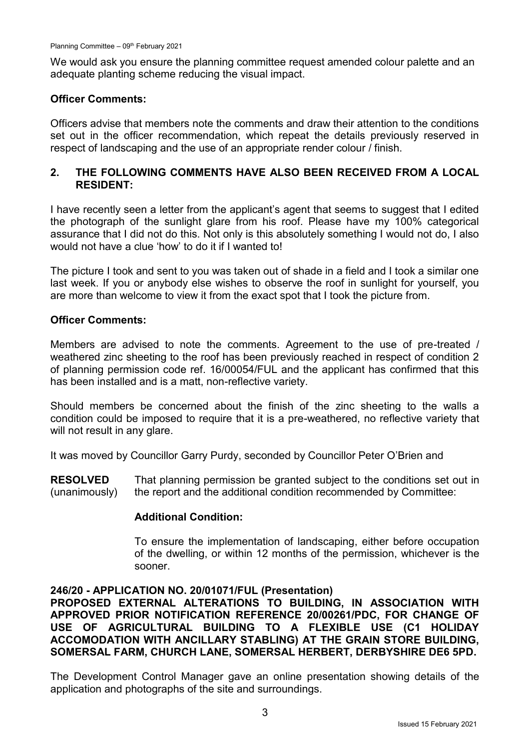We would ask you ensure the planning committee request amended colour palette and an adequate planting scheme reducing the visual impact.

## **Officer Comments:**

Officers advise that members note the comments and draw their attention to the conditions set out in the officer recommendation, which repeat the details previously reserved in respect of landscaping and the use of an appropriate render colour / finish.

## **2. THE FOLLOWING COMMENTS HAVE ALSO BEEN RECEIVED FROM A LOCAL RESIDENT:**

I have recently seen a letter from the applicant's agent that seems to suggest that I edited the photograph of the sunlight glare from his roof. Please have my 100% categorical assurance that I did not do this. Not only is this absolutely something I would not do, I also would not have a clue 'how' to do it if I wanted to!

The picture I took and sent to you was taken out of shade in a field and I took a similar one last week. If you or anybody else wishes to observe the roof in sunlight for yourself, you are more than welcome to view it from the exact spot that I took the picture from.

## **Officer Comments:**

Members are advised to note the comments. Agreement to the use of pre-treated / weathered zinc sheeting to the roof has been previously reached in respect of condition 2 of planning permission code ref. 16/00054/FUL and the applicant has confirmed that this has been installed and is a matt, non-reflective variety.

Should members be concerned about the finish of the zinc sheeting to the walls a condition could be imposed to require that it is a pre-weathered, no reflective variety that will not result in any glare.

It was moved by Councillor Garry Purdy, seconded by Councillor Peter O'Brien and

**RESOLVED** (unanimously) That planning permission be granted subject to the conditions set out in the report and the additional condition recommended by Committee:

## **Additional Condition:**

To ensure the implementation of landscaping, either before occupation of the dwelling, or within 12 months of the permission, whichever is the sooner.

## **246/20 - APPLICATION NO. 20/01071/FUL (Presentation)**

**PROPOSED EXTERNAL ALTERATIONS TO BUILDING, IN ASSOCIATION WITH APPROVED PRIOR NOTIFICATION REFERENCE 20/00261/PDC, FOR CHANGE OF USE OF AGRICULTURAL BUILDING TO A FLEXIBLE USE (C1 HOLIDAY ACCOMODATION WITH ANCILLARY STABLING) AT THE GRAIN STORE BUILDING, SOMERSAL FARM, CHURCH LANE, SOMERSAL HERBERT, DERBYSHIRE DE6 5PD.**

The Development Control Manager gave an online presentation showing details of the application and photographs of the site and surroundings.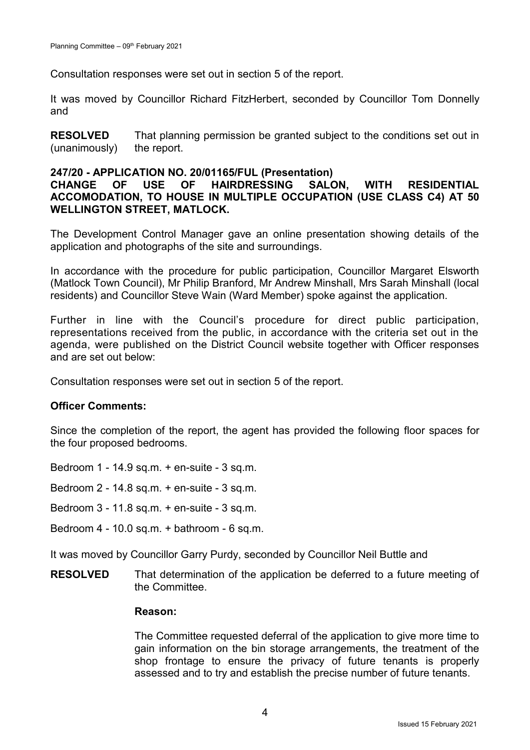Consultation responses were set out in section 5 of the report.

It was moved by Councillor Richard FitzHerbert, seconded by Councillor Tom Donnelly and

**RESOLVED** (unanimously) That planning permission be granted subject to the conditions set out in the report.

#### **247/20 - APPLICATION NO. 20/01165/FUL (Presentation)**

## **CHANGE OF USE OF HAIRDRESSING SALON, WITH RESIDENTIAL ACCOMODATION, TO HOUSE IN MULTIPLE OCCUPATION (USE CLASS C4) AT 50 WELLINGTON STREET, MATLOCK.**

The Development Control Manager gave an online presentation showing details of the application and photographs of the site and surroundings.

In accordance with the procedure for public participation, Councillor Margaret Elsworth (Matlock Town Council), Mr Philip Branford, Mr Andrew Minshall, Mrs Sarah Minshall (local residents) and Councillor Steve Wain (Ward Member) spoke against the application.

Further in line with the Council's procedure for direct public participation, representations received from the public, in accordance with the criteria set out in the agenda, were published on the District Council website together with Officer responses and are set out below:

Consultation responses were set out in section 5 of the report.

#### **Officer Comments:**

Since the completion of the report, the agent has provided the following floor spaces for the four proposed bedrooms.

Bedroom 1 - 14.9 sq.m. + en-suite - 3 sq.m.

Bedroom 2 - 14.8 sq.m. + en-suite - 3 sq.m.

- Bedroom 3 11.8 sq.m. + en-suite 3 sq.m.
- Bedroom 4 10.0 sq.m. + bathroom 6 sq.m.

It was moved by Councillor Garry Purdy, seconded by Councillor Neil Buttle and

**RESOLVED** That determination of the application be deferred to a future meeting of the Committee.

#### **Reason:**

The Committee requested deferral of the application to give more time to gain information on the bin storage arrangements, the treatment of the shop frontage to ensure the privacy of future tenants is properly assessed and to try and establish the precise number of future tenants.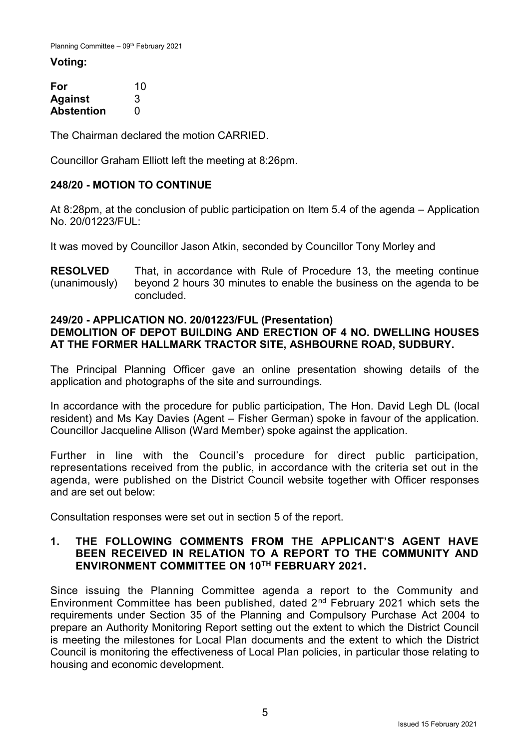#### **Voting:**

| For               | 10 |
|-------------------|----|
| <b>Against</b>    | 3  |
| <b>Abstention</b> | O  |

The Chairman declared the motion CARRIED.

Councillor Graham Elliott left the meeting at 8:26pm.

# **248/20 - MOTION TO CONTINUE**

At 8:28pm, at the conclusion of public participation on Item 5.4 of the agenda – Application No. 20/01223/FUL:

It was moved by Councillor Jason Atkin, seconded by Councillor Tony Morley and

**RESOLVED** (unanimously) That, in accordance with Rule of Procedure 13, the meeting continue beyond 2 hours 30 minutes to enable the business on the agenda to be concluded.

## **249/20 - APPLICATION NO. 20/01223/FUL (Presentation)**

# **DEMOLITION OF DEPOT BUILDING AND ERECTION OF 4 NO. DWELLING HOUSES AT THE FORMER HALLMARK TRACTOR SITE, ASHBOURNE ROAD, SUDBURY.**

The Principal Planning Officer gave an online presentation showing details of the application and photographs of the site and surroundings.

In accordance with the procedure for public participation, The Hon. David Legh DL (local resident) and Ms Kay Davies (Agent – Fisher German) spoke in favour of the application. Councillor Jacqueline Allison (Ward Member) spoke against the application.

Further in line with the Council's procedure for direct public participation, representations received from the public, in accordance with the criteria set out in the agenda, were published on the District Council website together with Officer responses and are set out below:

Consultation responses were set out in section 5 of the report.

## **1. THE FOLLOWING COMMENTS FROM THE APPLICANT'S AGENT HAVE BEEN RECEIVED IN RELATION TO A REPORT TO THE COMMUNITY AND ENVIRONMENT COMMITTEE ON 10TH FEBRUARY 2021.**

Since issuing the Planning Committee agenda a report to the Community and Environment Committee has been published, dated  $2<sup>nd</sup>$  February 2021 which sets the requirements under Section 35 of the Planning and Compulsory Purchase Act 2004 to prepare an Authority Monitoring Report setting out the extent to which the District Council is meeting the milestones for Local Plan documents and the extent to which the District Council is monitoring the effectiveness of Local Plan policies, in particular those relating to housing and economic development.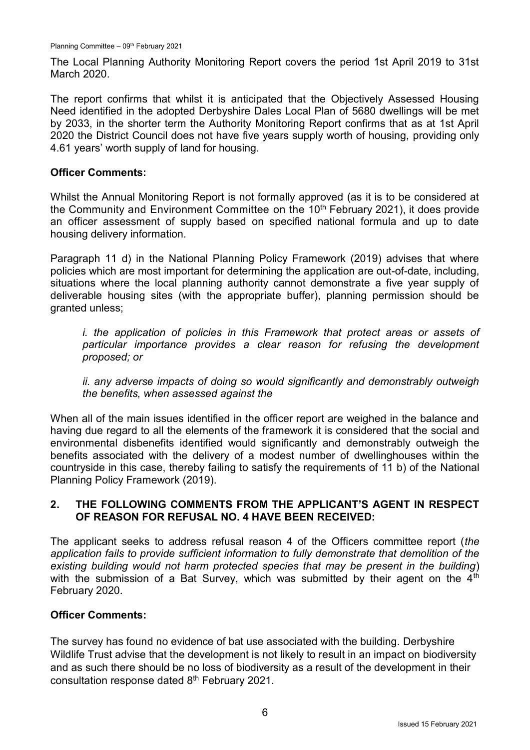The Local Planning Authority Monitoring Report covers the period 1st April 2019 to 31st March 2020.

The report confirms that whilst it is anticipated that the Objectively Assessed Housing Need identified in the adopted Derbyshire Dales Local Plan of 5680 dwellings will be met by 2033, in the shorter term the Authority Monitoring Report confirms that as at 1st April 2020 the District Council does not have five years supply worth of housing, providing only 4.61 years' worth supply of land for housing.

### **Officer Comments:**

Whilst the Annual Monitoring Report is not formally approved (as it is to be considered at the Community and Environment Committee on the  $10<sup>th</sup>$  February 2021), it does provide an officer assessment of supply based on specified national formula and up to date housing delivery information.

Paragraph 11 d) in the National Planning Policy Framework (2019) advises that where policies which are most important for determining the application are out-of-date, including, situations where the local planning authority cannot demonstrate a five year supply of deliverable housing sites (with the appropriate buffer), planning permission should be granted unless;

*i. the application of policies in this Framework that protect areas or assets of particular importance provides a clear reason for refusing the development proposed; or*

*ii. any adverse impacts of doing so would significantly and demonstrably outweigh the benefits, when assessed against the*

When all of the main issues identified in the officer report are weighed in the balance and having due regard to all the elements of the framework it is considered that the social and environmental disbenefits identified would significantly and demonstrably outweigh the benefits associated with the delivery of a modest number of dwellinghouses within the countryside in this case, thereby failing to satisfy the requirements of 11 b) of the National Planning Policy Framework (2019).

## **2. THE FOLLOWING COMMENTS FROM THE APPLICANT'S AGENT IN RESPECT OF REASON FOR REFUSAL NO. 4 HAVE BEEN RECEIVED:**

The applicant seeks to address refusal reason 4 of the Officers committee report (*the application fails to provide sufficient information to fully demonstrate that demolition of the existing building would not harm protected species that may be present in the building*) with the submission of a Bat Survey, which was submitted by their agent on the 4<sup>th</sup> February 2020.

## **Officer Comments:**

The survey has found no evidence of bat use associated with the building. Derbyshire Wildlife Trust advise that the development is not likely to result in an impact on biodiversity and as such there should be no loss of biodiversity as a result of the development in their consultation response dated 8<sup>th</sup> February 2021.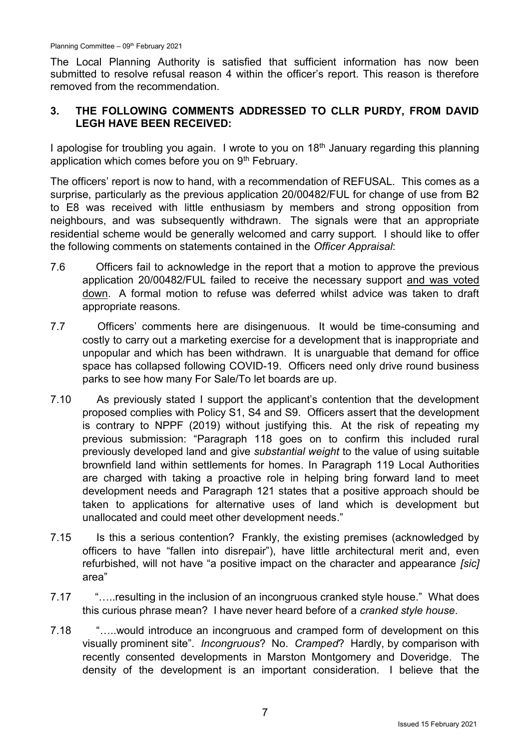The Local Planning Authority is satisfied that sufficient information has now been submitted to resolve refusal reason 4 within the officer's report. This reason is therefore removed from the recommendation.

# **3. THE FOLLOWING COMMENTS ADDRESSED TO CLLR PURDY, FROM DAVID LEGH HAVE BEEN RECEIVED:**

I apologise for troubling you again. I wrote to you on 18<sup>th</sup> January regarding this planning application which comes before you on 9<sup>th</sup> February.

The officers' report is now to hand, with a recommendation of REFUSAL. This comes as a surprise, particularly as the previous application 20/00482/FUL for change of use from B2 to E8 was received with little enthusiasm by members and strong opposition from neighbours, and was subsequently withdrawn. The signals were that an appropriate residential scheme would be generally welcomed and carry support. I should like to offer the following comments on statements contained in the *Officer Appraisal*:

- 7.6 Officers fail to acknowledge in the report that a motion to approve the previous application 20/00482/FUL failed to receive the necessary support and was voted down. A formal motion to refuse was deferred whilst advice was taken to draft appropriate reasons.
- 7.7 Officers' comments here are disingenuous. It would be time-consuming and costly to carry out a marketing exercise for a development that is inappropriate and unpopular and which has been withdrawn. It is unarguable that demand for office space has collapsed following COVID-19. Officers need only drive round business parks to see how many For Sale/To let boards are up.
- 7.10 As previously stated I support the applicant's contention that the development proposed complies with Policy S1, S4 and S9. Officers assert that the development is contrary to NPPF (2019) without justifying this. At the risk of repeating my previous submission: "Paragraph 118 goes on to confirm this included rural previously developed land and give *substantial weight* to the value of using suitable brownfield land within settlements for homes. In Paragraph 119 Local Authorities are charged with taking a proactive role in helping bring forward land to meet development needs and Paragraph 121 states that a positive approach should be taken to applications for alternative uses of land which is development but unallocated and could meet other development needs."
- 7.15 Is this a serious contention? Frankly, the existing premises (acknowledged by officers to have "fallen into disrepair"), have little architectural merit and, even refurbished, will not have "a positive impact on the character and appearance *[sic]* area"
- 7.17 "…..resulting in the inclusion of an incongruous cranked style house." What does this curious phrase mean? I have never heard before of a *cranked style house*.
- 7.18 "…..would introduce an incongruous and cramped form of development on this visually prominent site". *Incongruous*? No. *Cramped*? Hardly, by comparison with recently consented developments in Marston Montgomery and Doveridge. The density of the development is an important consideration. I believe that the